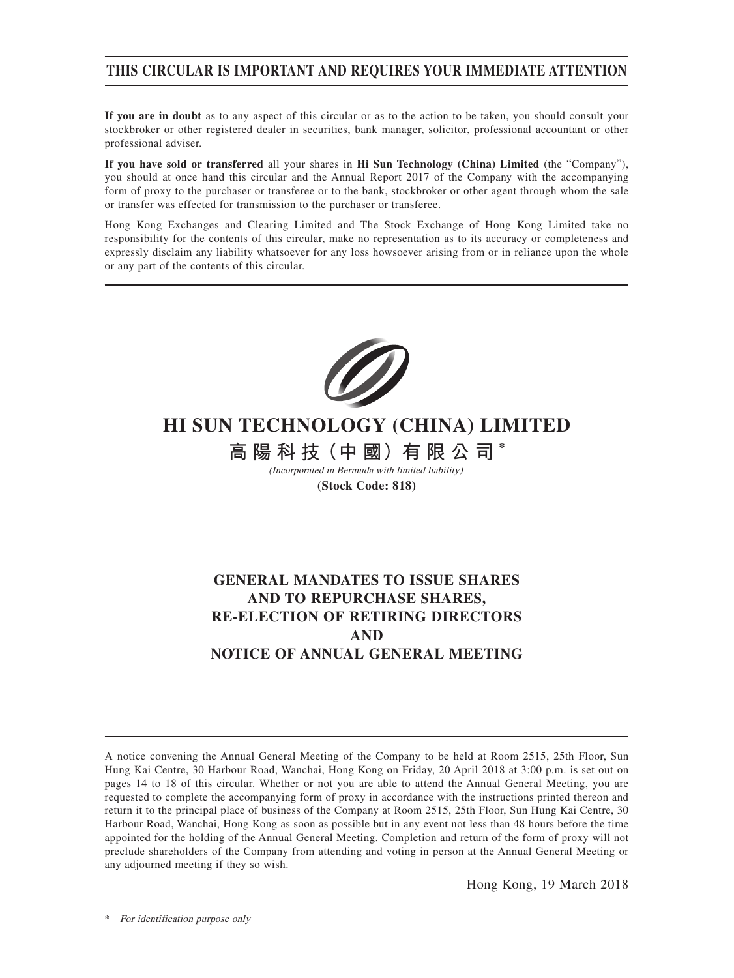### **THIS CIRCULAR IS IMPORTANT AND REQUIRES YOUR IMMEDIATE ATTENTION**

**If you are in doubt** as to any aspect of this circular or as to the action to be taken, you should consult your stockbroker or other registered dealer in securities, bank manager, solicitor, professional accountant or other professional adviser.

**If you have sold or transferred** all your shares in **Hi Sun Technology (China) Limited** (the "Company"), you should at once hand this circular and the Annual Report 2017 of the Company with the accompanying form of proxy to the purchaser or transferee or to the bank, stockbroker or other agent through whom the sale or transfer was effected for transmission to the purchaser or transferee.

Hong Kong Exchanges and Clearing Limited and The Stock Exchange of Hong Kong Limited take no responsibility for the contents of this circular, make no representation as to its accuracy or completeness and expressly disclaim any liability whatsoever for any loss howsoever arising from or in reliance upon the whole or any part of the contents of this circular.



# **HI SUN TECHNOLOGY (CHINA) LIMITED**

**高 陽 科 技(中 國)有 限 公 司 \***

(Incorporated in Bermuda with limited liability) **(Stock Code: 818)**

### **GENERAL MANDATES TO ISSUE SHARES AND TO REPURCHASE SHARES, RE-ELECTION OF RETIRING DIRECTORS AND NOTICE OF ANNUAL GENERAL MEETING**

Hong Kong, 19 March 2018

A notice convening the Annual General Meeting of the Company to be held at Room 2515, 25th Floor, Sun Hung Kai Centre, 30 Harbour Road, Wanchai, Hong Kong on Friday, 20 April 2018 at 3:00 p.m. is set out on pages 14 to 18 of this circular. Whether or not you are able to attend the Annual General Meeting, you are requested to complete the accompanying form of proxy in accordance with the instructions printed thereon and return it to the principal place of business of the Company at Room 2515, 25th Floor, Sun Hung Kai Centre, 30 Harbour Road, Wanchai, Hong Kong as soon as possible but in any event not less than 48 hours before the time appointed for the holding of the Annual General Meeting. Completion and return of the form of proxy will not preclude shareholders of the Company from attending and voting in person at the Annual General Meeting or any adjourned meeting if they so wish.

For identification purpose only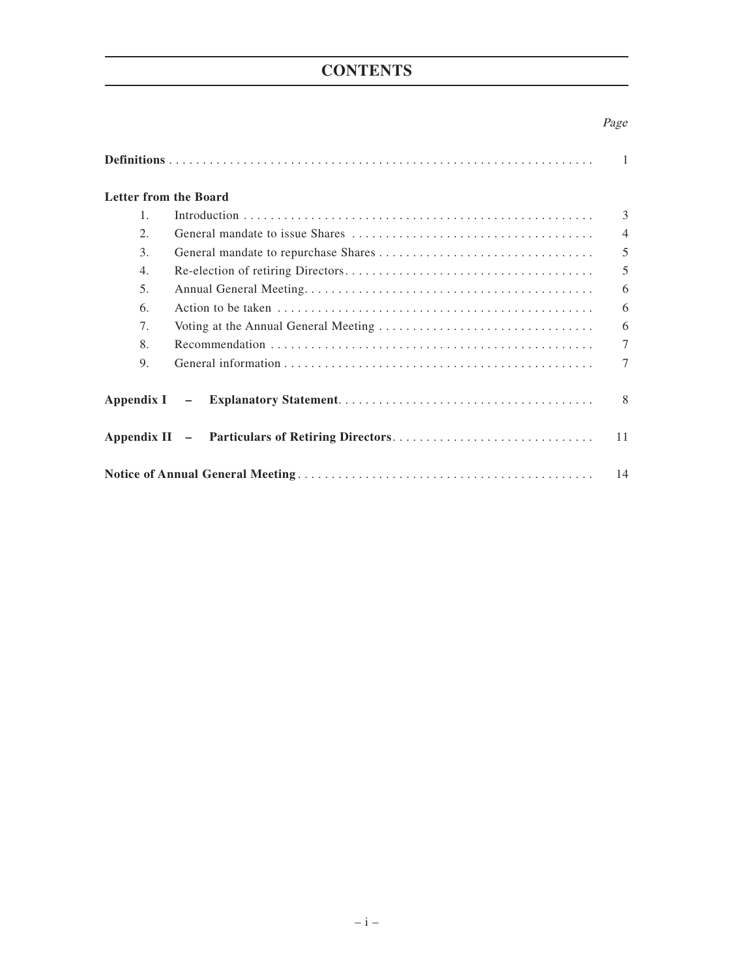## **CONTENTS**

### Page

|                              |                                                 | $\overline{1}$ |  |
|------------------------------|-------------------------------------------------|----------------|--|
| <b>Letter from the Board</b> |                                                 |                |  |
| $\mathbf{1}$ .               |                                                 | 3              |  |
| 2.                           |                                                 | $\overline{4}$ |  |
| 3.                           |                                                 | 5              |  |
| 4.                           |                                                 | 5              |  |
| 5.                           |                                                 | 6              |  |
| 6.                           |                                                 | 6              |  |
| 7.                           |                                                 | 6              |  |
| 8.                           |                                                 | $\tau$         |  |
| 9.                           |                                                 | 7              |  |
|                              |                                                 | 8              |  |
|                              | Appendix II - Particulars of Retiring Directors | 11             |  |
|                              |                                                 |                |  |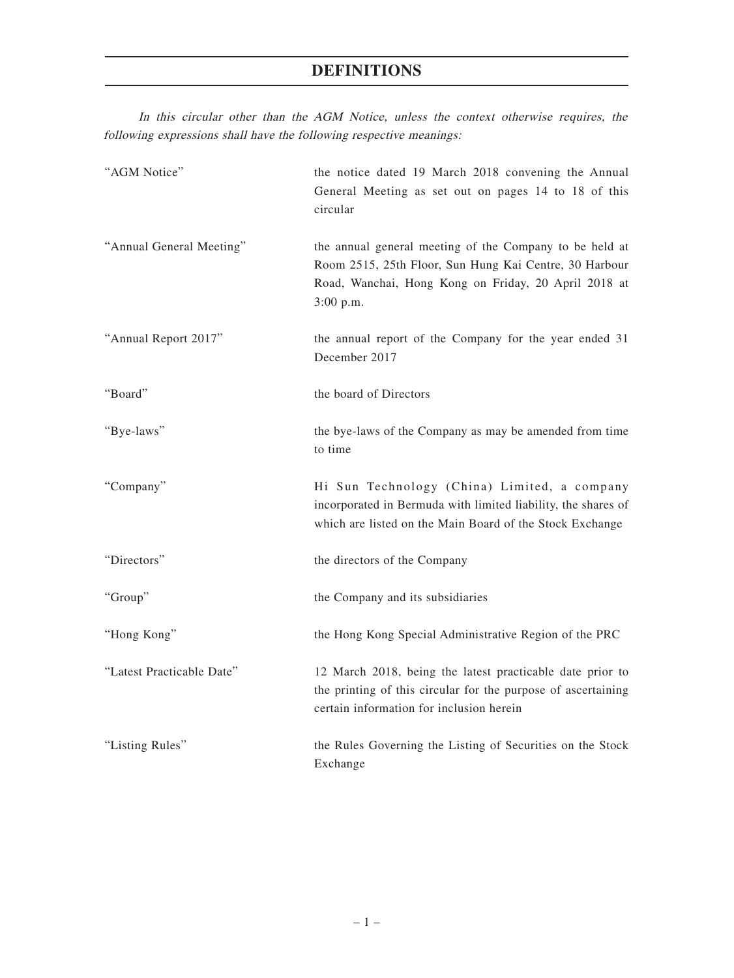### **DEFINITIONS**

In this circular other than the AGM Notice, unless the context otherwise requires, the following expressions shall have the following respective meanings:

| "AGM Notice"              | the notice dated 19 March 2018 convening the Annual<br>General Meeting as set out on pages 14 to 18 of this<br>circular                                                                  |
|---------------------------|------------------------------------------------------------------------------------------------------------------------------------------------------------------------------------------|
| "Annual General Meeting"  | the annual general meeting of the Company to be held at<br>Room 2515, 25th Floor, Sun Hung Kai Centre, 30 Harbour<br>Road, Wanchai, Hong Kong on Friday, 20 April 2018 at<br>$3:00$ p.m. |
| "Annual Report 2017"      | the annual report of the Company for the year ended 31<br>December 2017                                                                                                                  |
| "Board"                   | the board of Directors                                                                                                                                                                   |
| "Bye-laws"                | the bye-laws of the Company as may be amended from time<br>to time                                                                                                                       |
| "Company"                 | Hi Sun Technology (China) Limited, a company<br>incorporated in Bermuda with limited liability, the shares of<br>which are listed on the Main Board of the Stock Exchange                |
| "Directors"               | the directors of the Company                                                                                                                                                             |
| "Group"                   | the Company and its subsidiaries                                                                                                                                                         |
| "Hong Kong"               | the Hong Kong Special Administrative Region of the PRC                                                                                                                                   |
| "Latest Practicable Date" | 12 March 2018, being the latest practicable date prior to<br>the printing of this circular for the purpose of ascertaining<br>certain information for inclusion herein                   |
| "Listing Rules"           | the Rules Governing the Listing of Securities on the Stock<br>Exchange                                                                                                                   |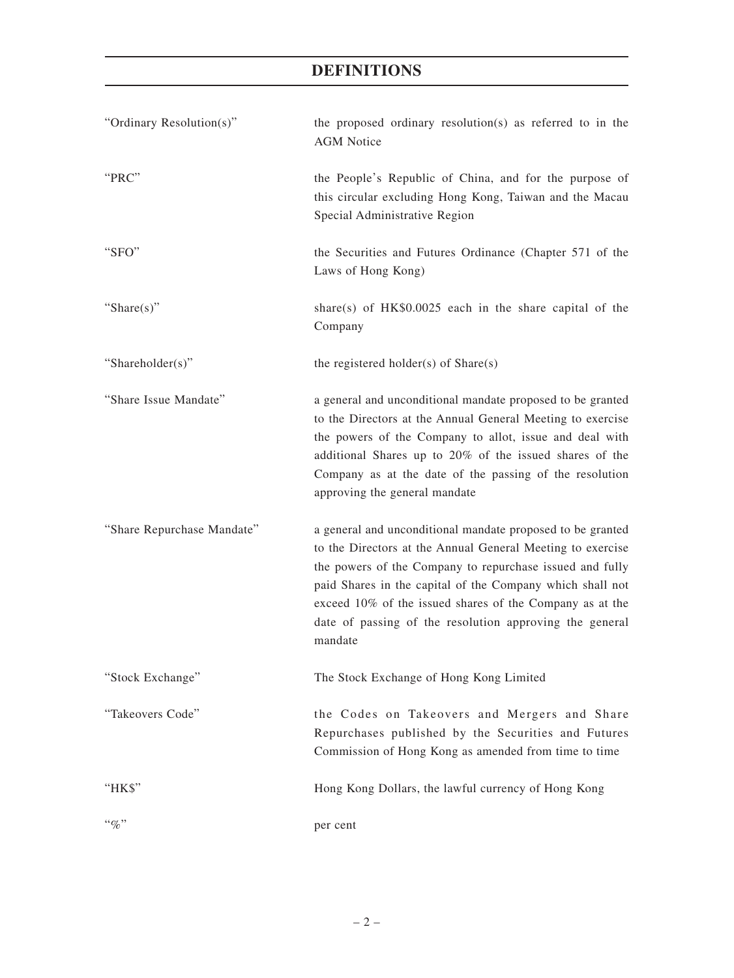| "Ordinary Resolution(s)"   | the proposed ordinary resolution(s) as referred to in the<br><b>AGM</b> Notice                                                                                                                                                                                                                                                                                                      |  |  |
|----------------------------|-------------------------------------------------------------------------------------------------------------------------------------------------------------------------------------------------------------------------------------------------------------------------------------------------------------------------------------------------------------------------------------|--|--|
| "PRC"                      | the People's Republic of China, and for the purpose of<br>this circular excluding Hong Kong, Taiwan and the Macau<br>Special Administrative Region                                                                                                                                                                                                                                  |  |  |
| "SFO"                      | the Securities and Futures Ordinance (Chapter 571 of the<br>Laws of Hong Kong)                                                                                                                                                                                                                                                                                                      |  |  |
| "Share(s)"                 | share(s) of $HK$0.0025$ each in the share capital of the<br>Company                                                                                                                                                                                                                                                                                                                 |  |  |
| "Shareholder(s)"           | the registered holder(s) of $Share(s)$                                                                                                                                                                                                                                                                                                                                              |  |  |
| "Share Issue Mandate"      | a general and unconditional mandate proposed to be granted<br>to the Directors at the Annual General Meeting to exercise<br>the powers of the Company to allot, issue and deal with<br>additional Shares up to 20% of the issued shares of the<br>Company as at the date of the passing of the resolution<br>approving the general mandate                                          |  |  |
| "Share Repurchase Mandate" | a general and unconditional mandate proposed to be granted<br>to the Directors at the Annual General Meeting to exercise<br>the powers of the Company to repurchase issued and fully<br>paid Shares in the capital of the Company which shall not<br>exceed 10% of the issued shares of the Company as at the<br>date of passing of the resolution approving the general<br>mandate |  |  |
| "Stock Exchange"           | The Stock Exchange of Hong Kong Limited                                                                                                                                                                                                                                                                                                                                             |  |  |
| "Takeovers Code"           | the Codes on Takeovers and Mergers and Share<br>Repurchases published by the Securities and Futures<br>Commission of Hong Kong as amended from time to time                                                                                                                                                                                                                         |  |  |
| "HK\$"                     | Hong Kong Dollars, the lawful currency of Hong Kong                                                                                                                                                                                                                                                                                                                                 |  |  |
| $``q_0"$                   | per cent                                                                                                                                                                                                                                                                                                                                                                            |  |  |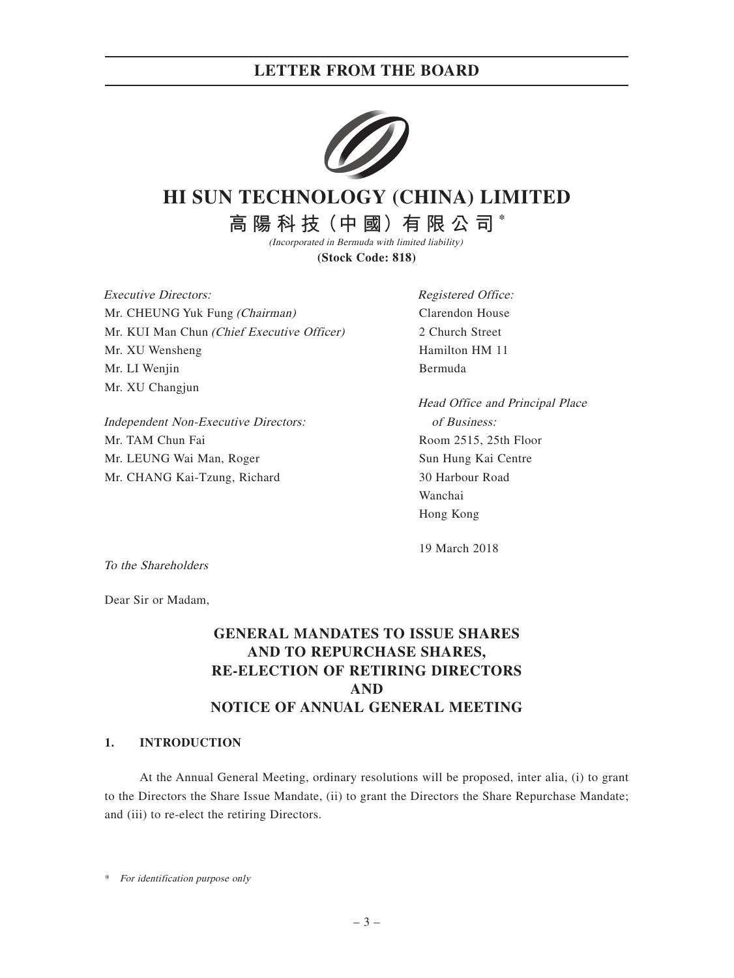### **LETTER FROM THE BOARD**



# **HI SUN TECHNOLOGY (CHINA) LIMITED**

**高 陽 科 技(中 國)有 限 公 司 \***

(Incorporated in Bermuda with limited liability) **(Stock Code: 818)**

Executive Directors: Mr. CHEUNG Yuk Fung (Chairman) Mr. KUI Man Chun (Chief Executive Officer) Mr. XU Wensheng Mr. LI Wenjin Mr. XU Changjun

Independent Non-Executive Directors: Mr. TAM Chun Fai Mr. LEUNG Wai Man, Roger Mr. CHANG Kai-Tzung, Richard

Registered Office: Clarendon House 2 Church Street Hamilton HM 11 Bermuda

Head Office and Principal Place of Business: Room 2515, 25th Floor Sun Hung Kai Centre 30 Harbour Road Wanchai Hong Kong

19 March 2018

To the Shareholders

Dear Sir or Madam,

### **GENERAL MANDATES TO ISSUE SHARES AND TO REPURCHASE SHARES, RE-ELECTION OF RETIRING DIRECTORS AND NOTICE OF ANNUAL GENERAL MEETING**

#### **1. INTRODUCTION**

At the Annual General Meeting, ordinary resolutions will be proposed, inter alia, (i) to grant to the Directors the Share Issue Mandate, (ii) to grant the Directors the Share Repurchase Mandate; and (iii) to re-elect the retiring Directors.

\* For identification purpose only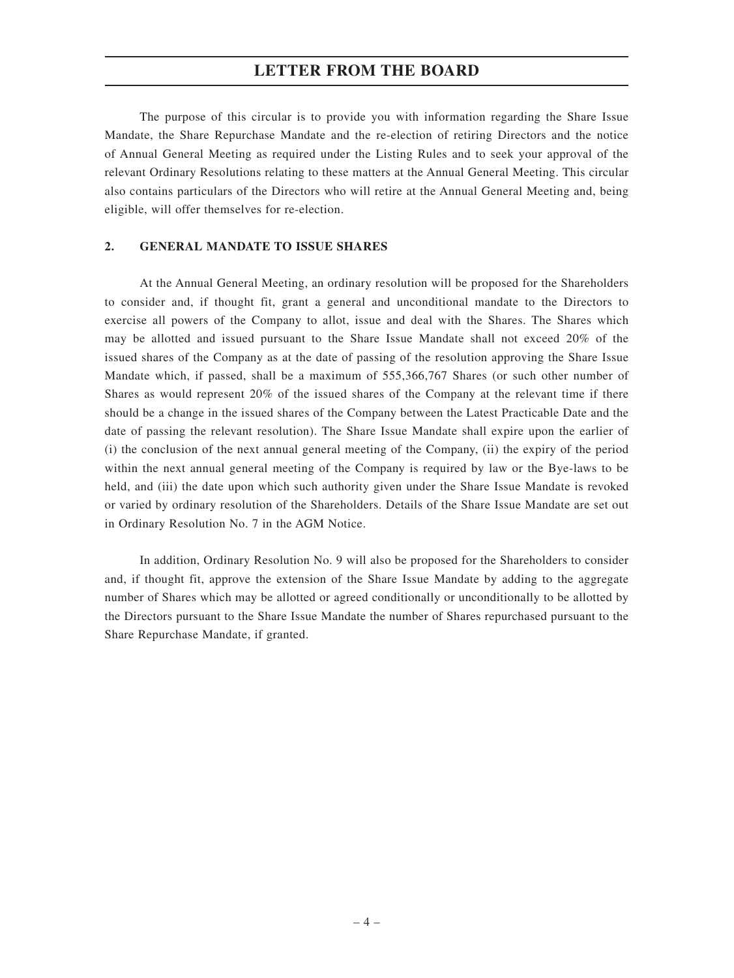### **LETTER FROM THE BOARD**

The purpose of this circular is to provide you with information regarding the Share Issue Mandate, the Share Repurchase Mandate and the re-election of retiring Directors and the notice of Annual General Meeting as required under the Listing Rules and to seek your approval of the relevant Ordinary Resolutions relating to these matters at the Annual General Meeting. This circular also contains particulars of the Directors who will retire at the Annual General Meeting and, being eligible, will offer themselves for re-election.

#### **2. GENERAL MANDATE TO ISSUE SHARES**

At the Annual General Meeting, an ordinary resolution will be proposed for the Shareholders to consider and, if thought fit, grant a general and unconditional mandate to the Directors to exercise all powers of the Company to allot, issue and deal with the Shares. The Shares which may be allotted and issued pursuant to the Share Issue Mandate shall not exceed 20% of the issued shares of the Company as at the date of passing of the resolution approving the Share Issue Mandate which, if passed, shall be a maximum of 555,366,767 Shares (or such other number of Shares as would represent 20% of the issued shares of the Company at the relevant time if there should be a change in the issued shares of the Company between the Latest Practicable Date and the date of passing the relevant resolution). The Share Issue Mandate shall expire upon the earlier of (i) the conclusion of the next annual general meeting of the Company, (ii) the expiry of the period within the next annual general meeting of the Company is required by law or the Bye-laws to be held, and (iii) the date upon which such authority given under the Share Issue Mandate is revoked or varied by ordinary resolution of the Shareholders. Details of the Share Issue Mandate are set out in Ordinary Resolution No. 7 in the AGM Notice.

In addition, Ordinary Resolution No. 9 will also be proposed for the Shareholders to consider and, if thought fit, approve the extension of the Share Issue Mandate by adding to the aggregate number of Shares which may be allotted or agreed conditionally or unconditionally to be allotted by the Directors pursuant to the Share Issue Mandate the number of Shares repurchased pursuant to the Share Repurchase Mandate, if granted.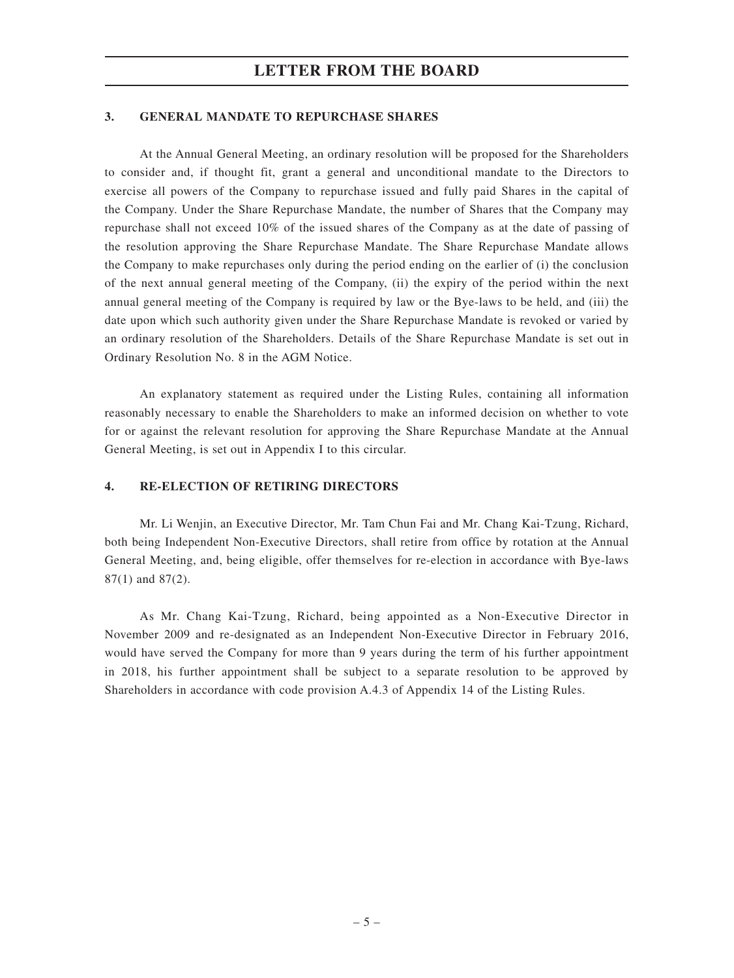#### **3. GENERAL MANDATE TO REPURCHASE SHARES**

At the Annual General Meeting, an ordinary resolution will be proposed for the Shareholders to consider and, if thought fit, grant a general and unconditional mandate to the Directors to exercise all powers of the Company to repurchase issued and fully paid Shares in the capital of the Company. Under the Share Repurchase Mandate, the number of Shares that the Company may repurchase shall not exceed 10% of the issued shares of the Company as at the date of passing of the resolution approving the Share Repurchase Mandate. The Share Repurchase Mandate allows the Company to make repurchases only during the period ending on the earlier of (i) the conclusion of the next annual general meeting of the Company, (ii) the expiry of the period within the next annual general meeting of the Company is required by law or the Bye-laws to be held, and (iii) the date upon which such authority given under the Share Repurchase Mandate is revoked or varied by an ordinary resolution of the Shareholders. Details of the Share Repurchase Mandate is set out in Ordinary Resolution No. 8 in the AGM Notice.

An explanatory statement as required under the Listing Rules, containing all information reasonably necessary to enable the Shareholders to make an informed decision on whether to vote for or against the relevant resolution for approving the Share Repurchase Mandate at the Annual General Meeting, is set out in Appendix I to this circular.

#### **4. RE-ELECTION OF RETIRING DIRECTORS**

Mr. Li Wenjin, an Executive Director, Mr. Tam Chun Fai and Mr. Chang Kai-Tzung, Richard, both being Independent Non-Executive Directors, shall retire from office by rotation at the Annual General Meeting, and, being eligible, offer themselves for re-election in accordance with Bye-laws 87(1) and 87(2).

As Mr. Chang Kai-Tzung, Richard, being appointed as a Non-Executive Director in November 2009 and re-designated as an Independent Non-Executive Director in February 2016, would have served the Company for more than 9 years during the term of his further appointment in 2018, his further appointment shall be subject to a separate resolution to be approved by Shareholders in accordance with code provision A.4.3 of Appendix 14 of the Listing Rules.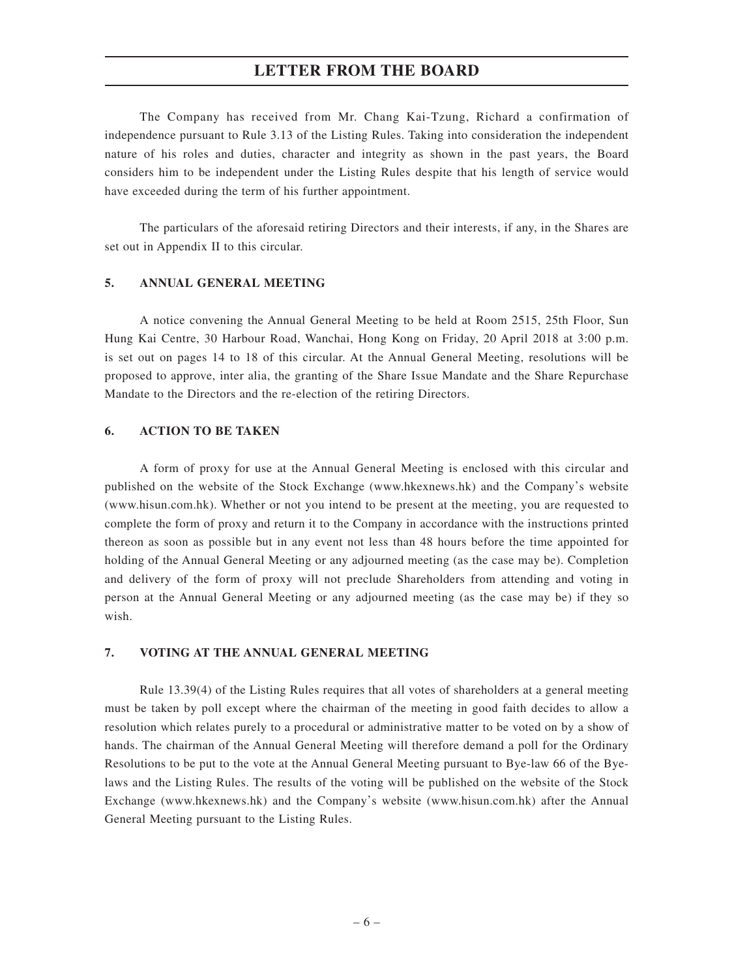### **LETTER FROM THE BOARD**

The Company has received from Mr. Chang Kai-Tzung, Richard a confirmation of independence pursuant to Rule 3.13 of the Listing Rules. Taking into consideration the independent nature of his roles and duties, character and integrity as shown in the past years, the Board considers him to be independent under the Listing Rules despite that his length of service would have exceeded during the term of his further appointment.

The particulars of the aforesaid retiring Directors and their interests, if any, in the Shares are set out in Appendix II to this circular.

#### **5. ANNUAL GENERAL MEETING**

A notice convening the Annual General Meeting to be held at Room 2515, 25th Floor, Sun Hung Kai Centre, 30 Harbour Road, Wanchai, Hong Kong on Friday, 20 April 2018 at 3:00 p.m. is set out on pages 14 to 18 of this circular. At the Annual General Meeting, resolutions will be proposed to approve, inter alia, the granting of the Share Issue Mandate and the Share Repurchase Mandate to the Directors and the re-election of the retiring Directors.

#### **6. ACTION TO BE TAKEN**

A form of proxy for use at the Annual General Meeting is enclosed with this circular and published on the website of the Stock Exchange (www.hkexnews.hk) and the Company's website (www.hisun.com.hk). Whether or not you intend to be present at the meeting, you are requested to complete the form of proxy and return it to the Company in accordance with the instructions printed thereon as soon as possible but in any event not less than 48 hours before the time appointed for holding of the Annual General Meeting or any adjourned meeting (as the case may be). Completion and delivery of the form of proxy will not preclude Shareholders from attending and voting in person at the Annual General Meeting or any adjourned meeting (as the case may be) if they so wish.

#### **7. VOTING AT THE ANNUAL GENERAL MEETING**

Rule 13.39(4) of the Listing Rules requires that all votes of shareholders at a general meeting must be taken by poll except where the chairman of the meeting in good faith decides to allow a resolution which relates purely to a procedural or administrative matter to be voted on by a show of hands. The chairman of the Annual General Meeting will therefore demand a poll for the Ordinary Resolutions to be put to the vote at the Annual General Meeting pursuant to Bye-law 66 of the Byelaws and the Listing Rules. The results of the voting will be published on the website of the Stock Exchange (www.hkexnews.hk) and the Company's website (www.hisun.com.hk) after the Annual General Meeting pursuant to the Listing Rules.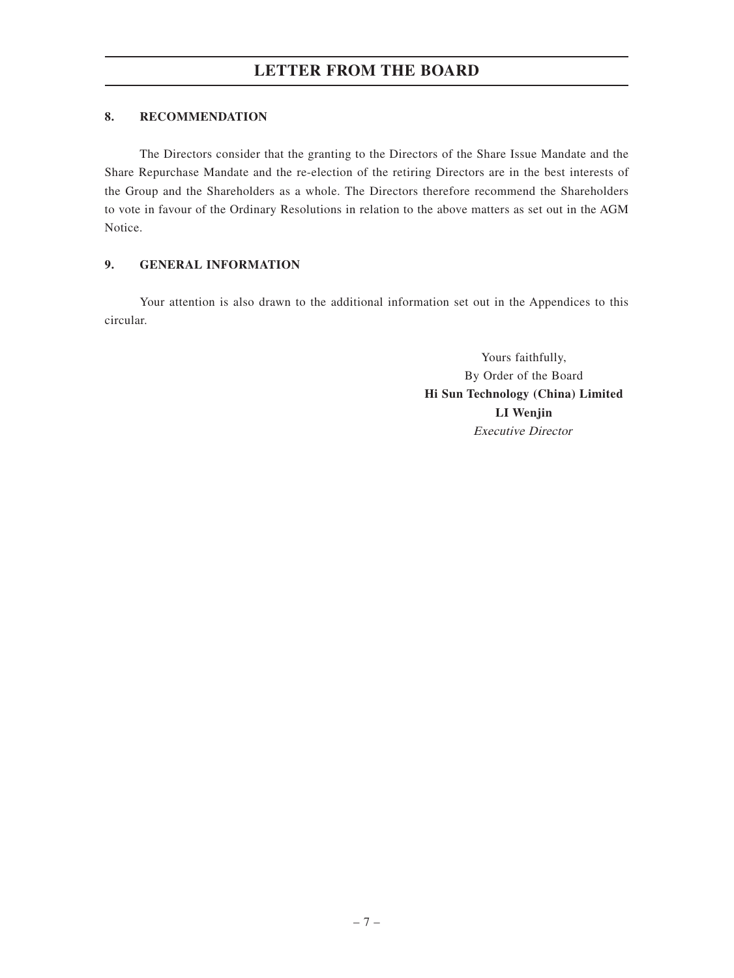#### **8. RECOMMENDATION**

The Directors consider that the granting to the Directors of the Share Issue Mandate and the Share Repurchase Mandate and the re-election of the retiring Directors are in the best interests of the Group and the Shareholders as a whole. The Directors therefore recommend the Shareholders to vote in favour of the Ordinary Resolutions in relation to the above matters as set out in the AGM Notice.

### **9. GENERAL INFORMATION**

Your attention is also drawn to the additional information set out in the Appendices to this circular.

> Yours faithfully, By Order of the Board **Hi Sun Technology (China) Limited LI Wenjin** Executive Director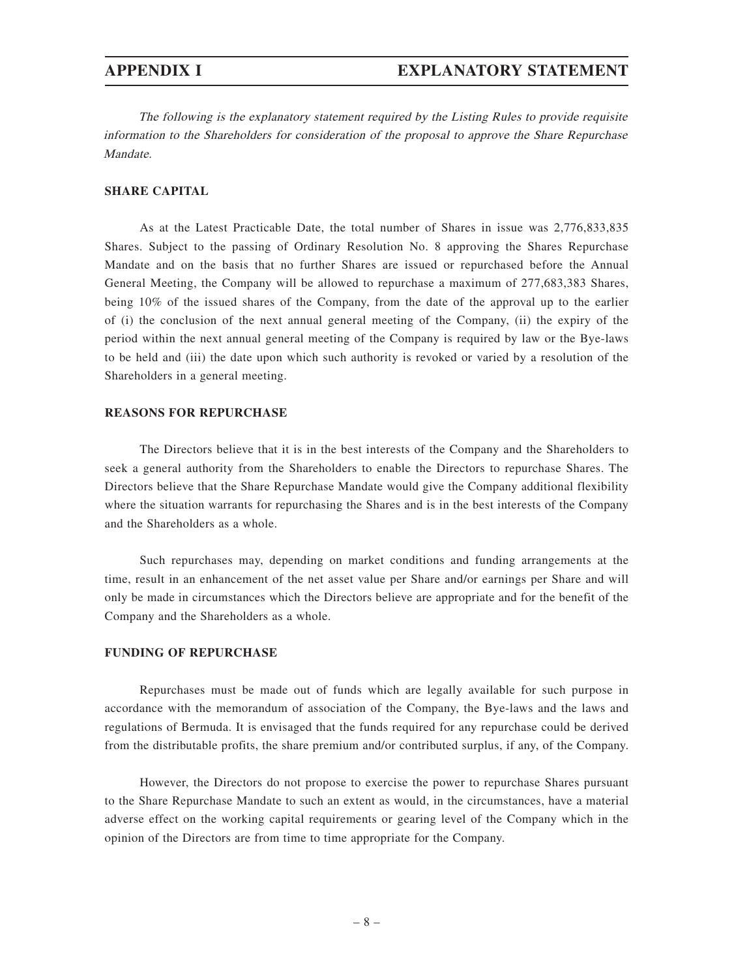The following is the explanatory statement required by the Listing Rules to provide requisite information to the Shareholders for consideration of the proposal to approve the Share Repurchase Mandate.

#### **SHARE CAPITAL**

As at the Latest Practicable Date, the total number of Shares in issue was 2,776,833,835 Shares. Subject to the passing of Ordinary Resolution No. 8 approving the Shares Repurchase Mandate and on the basis that no further Shares are issued or repurchased before the Annual General Meeting, the Company will be allowed to repurchase a maximum of 277,683,383 Shares, being 10% of the issued shares of the Company, from the date of the approval up to the earlier of (i) the conclusion of the next annual general meeting of the Company, (ii) the expiry of the period within the next annual general meeting of the Company is required by law or the Bye-laws to be held and (iii) the date upon which such authority is revoked or varied by a resolution of the Shareholders in a general meeting.

#### **REASONS FOR REPURCHASE**

The Directors believe that it is in the best interests of the Company and the Shareholders to seek a general authority from the Shareholders to enable the Directors to repurchase Shares. The Directors believe that the Share Repurchase Mandate would give the Company additional flexibility where the situation warrants for repurchasing the Shares and is in the best interests of the Company and the Shareholders as a whole.

Such repurchases may, depending on market conditions and funding arrangements at the time, result in an enhancement of the net asset value per Share and/or earnings per Share and will only be made in circumstances which the Directors believe are appropriate and for the benefit of the Company and the Shareholders as a whole.

#### **FUNDING OF REPURCHASE**

Repurchases must be made out of funds which are legally available for such purpose in accordance with the memorandum of association of the Company, the Bye-laws and the laws and regulations of Bermuda. It is envisaged that the funds required for any repurchase could be derived from the distributable profits, the share premium and/or contributed surplus, if any, of the Company.

However, the Directors do not propose to exercise the power to repurchase Shares pursuant to the Share Repurchase Mandate to such an extent as would, in the circumstances, have a material adverse effect on the working capital requirements or gearing level of the Company which in the opinion of the Directors are from time to time appropriate for the Company.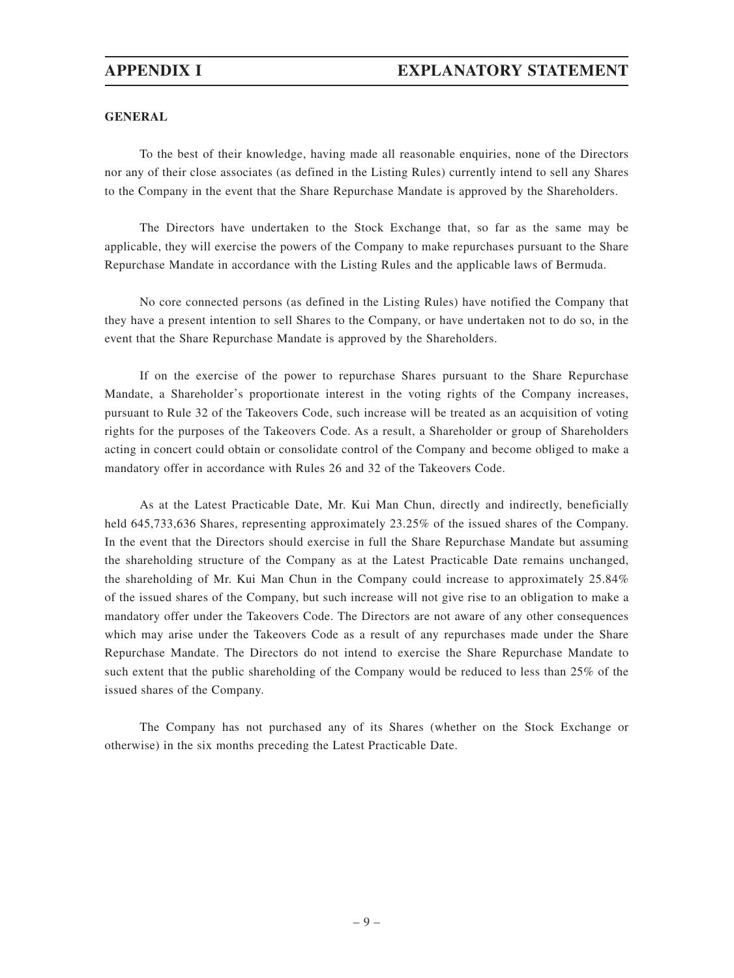#### **GENERAL**

To the best of their knowledge, having made all reasonable enquiries, none of the Directors nor any of their close associates (as defined in the Listing Rules) currently intend to sell any Shares to the Company in the event that the Share Repurchase Mandate is approved by the Shareholders.

The Directors have undertaken to the Stock Exchange that, so far as the same may be applicable, they will exercise the powers of the Company to make repurchases pursuant to the Share Repurchase Mandate in accordance with the Listing Rules and the applicable laws of Bermuda.

No core connected persons (as defined in the Listing Rules) have notified the Company that they have a present intention to sell Shares to the Company, or have undertaken not to do so, in the event that the Share Repurchase Mandate is approved by the Shareholders.

If on the exercise of the power to repurchase Shares pursuant to the Share Repurchase Mandate, a Shareholder's proportionate interest in the voting rights of the Company increases, pursuant to Rule 32 of the Takeovers Code, such increase will be treated as an acquisition of voting rights for the purposes of the Takeovers Code. As a result, a Shareholder or group of Shareholders acting in concert could obtain or consolidate control of the Company and become obliged to make a mandatory offer in accordance with Rules 26 and 32 of the Takeovers Code.

As at the Latest Practicable Date, Mr. Kui Man Chun, directly and indirectly, beneficially held 645,733,636 Shares, representing approximately 23.25% of the issued shares of the Company. In the event that the Directors should exercise in full the Share Repurchase Mandate but assuming the shareholding structure of the Company as at the Latest Practicable Date remains unchanged, the shareholding of Mr. Kui Man Chun in the Company could increase to approximately 25.84% of the issued shares of the Company, but such increase will not give rise to an obligation to make a mandatory offer under the Takeovers Code. The Directors are not aware of any other consequences which may arise under the Takeovers Code as a result of any repurchases made under the Share Repurchase Mandate. The Directors do not intend to exercise the Share Repurchase Mandate to such extent that the public shareholding of the Company would be reduced to less than 25% of the issued shares of the Company.

The Company has not purchased any of its Shares (whether on the Stock Exchange or otherwise) in the six months preceding the Latest Practicable Date.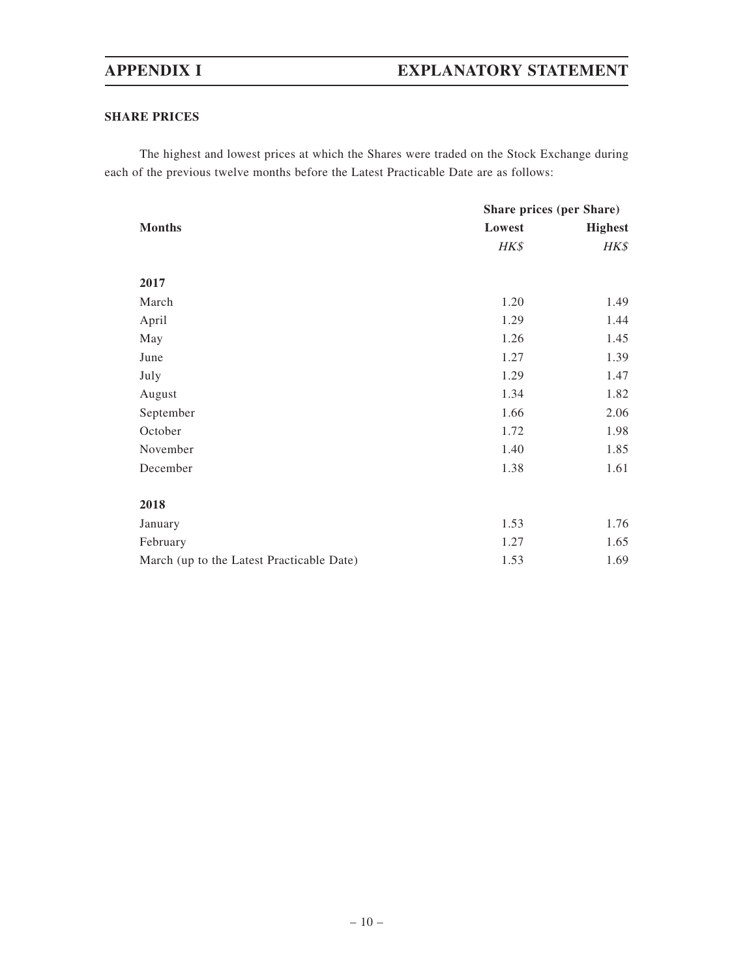#### **SHARE PRICES**

The highest and lowest prices at which the Shares were traded on the Stock Exchange during each of the previous twelve months before the Latest Practicable Date are as follows:

|                                           | Share prices (per Share) |                |
|-------------------------------------------|--------------------------|----------------|
| <b>Months</b>                             | Lowest                   | <b>Highest</b> |
|                                           | HK\$                     | HK\$           |
|                                           |                          |                |
| 2017                                      |                          |                |
| March                                     | 1.20                     | 1.49           |
| April                                     | 1.29                     | 1.44           |
| May                                       | 1.26                     | 1.45           |
| June                                      | 1.27                     | 1.39           |
| July                                      | 1.29                     | 1.47           |
| August                                    | 1.34                     | 1.82           |
| September                                 | 1.66                     | 2.06           |
| October                                   | 1.72                     | 1.98           |
| November                                  | 1.40                     | 1.85           |
| December                                  | 1.38                     | 1.61           |
|                                           |                          |                |
| 2018                                      |                          |                |
| January                                   | 1.53                     | 1.76           |
| February                                  | 1.27                     | 1.65           |
| March (up to the Latest Practicable Date) | 1.53                     | 1.69           |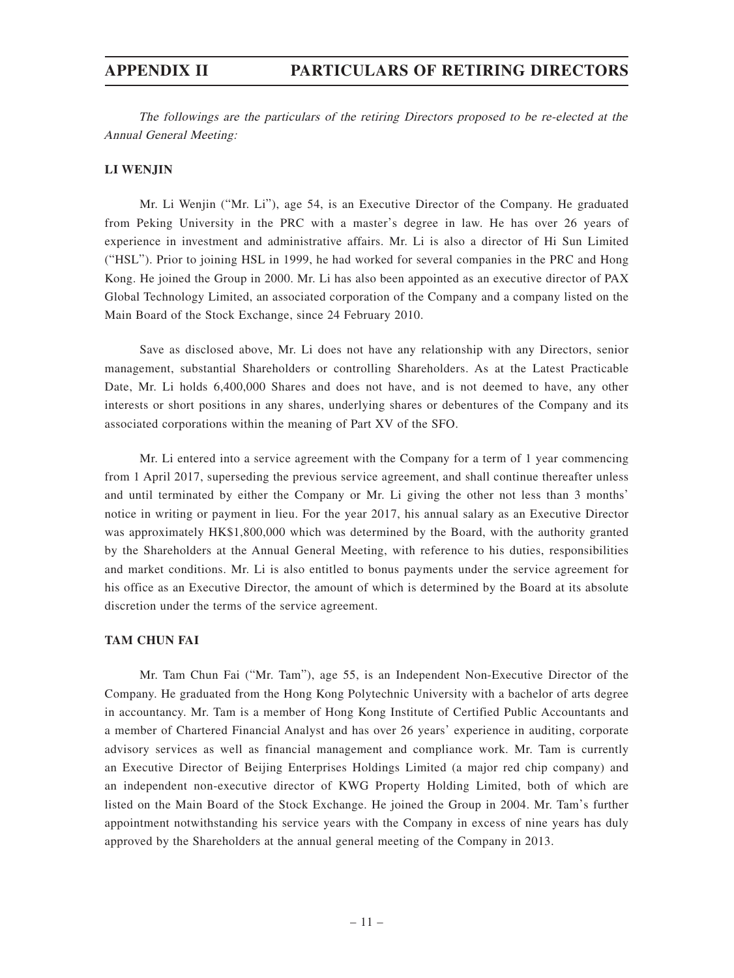### **APPENDIX II PARTICULARS OF RETIRING DIRECTORS**

The followings are the particulars of the retiring Directors proposed to be re-elected at the Annual General Meeting:

#### **LI WENJIN**

Mr. Li Wenjin ("Mr. Li"), age 54, is an Executive Director of the Company. He graduated from Peking University in the PRC with a master's degree in law. He has over 26 years of experience in investment and administrative affairs. Mr. Li is also a director of Hi Sun Limited ("HSL"). Prior to joining HSL in 1999, he had worked for several companies in the PRC and Hong Kong. He joined the Group in 2000. Mr. Li has also been appointed as an executive director of PAX Global Technology Limited, an associated corporation of the Company and a company listed on the Main Board of the Stock Exchange, since 24 February 2010.

Save as disclosed above, Mr. Li does not have any relationship with any Directors, senior management, substantial Shareholders or controlling Shareholders. As at the Latest Practicable Date, Mr. Li holds 6,400,000 Shares and does not have, and is not deemed to have, any other interests or short positions in any shares, underlying shares or debentures of the Company and its associated corporations within the meaning of Part XV of the SFO.

Mr. Li entered into a service agreement with the Company for a term of 1 year commencing from 1 April 2017, superseding the previous service agreement, and shall continue thereafter unless and until terminated by either the Company or Mr. Li giving the other not less than 3 months' notice in writing or payment in lieu. For the year 2017, his annual salary as an Executive Director was approximately HK\$1,800,000 which was determined by the Board, with the authority granted by the Shareholders at the Annual General Meeting, with reference to his duties, responsibilities and market conditions. Mr. Li is also entitled to bonus payments under the service agreement for his office as an Executive Director, the amount of which is determined by the Board at its absolute discretion under the terms of the service agreement.

#### **TAM CHUN FAI**

Mr. Tam Chun Fai ("Mr. Tam"), age 55, is an Independent Non-Executive Director of the Company. He graduated from the Hong Kong Polytechnic University with a bachelor of arts degree in accountancy. Mr. Tam is a member of Hong Kong Institute of Certified Public Accountants and a member of Chartered Financial Analyst and has over 26 years' experience in auditing, corporate advisory services as well as financial management and compliance work. Mr. Tam is currently an Executive Director of Beijing Enterprises Holdings Limited (a major red chip company) and an independent non-executive director of KWG Property Holding Limited, both of which are listed on the Main Board of the Stock Exchange. He joined the Group in 2004. Mr. Tam's further appointment notwithstanding his service years with the Company in excess of nine years has duly approved by the Shareholders at the annual general meeting of the Company in 2013.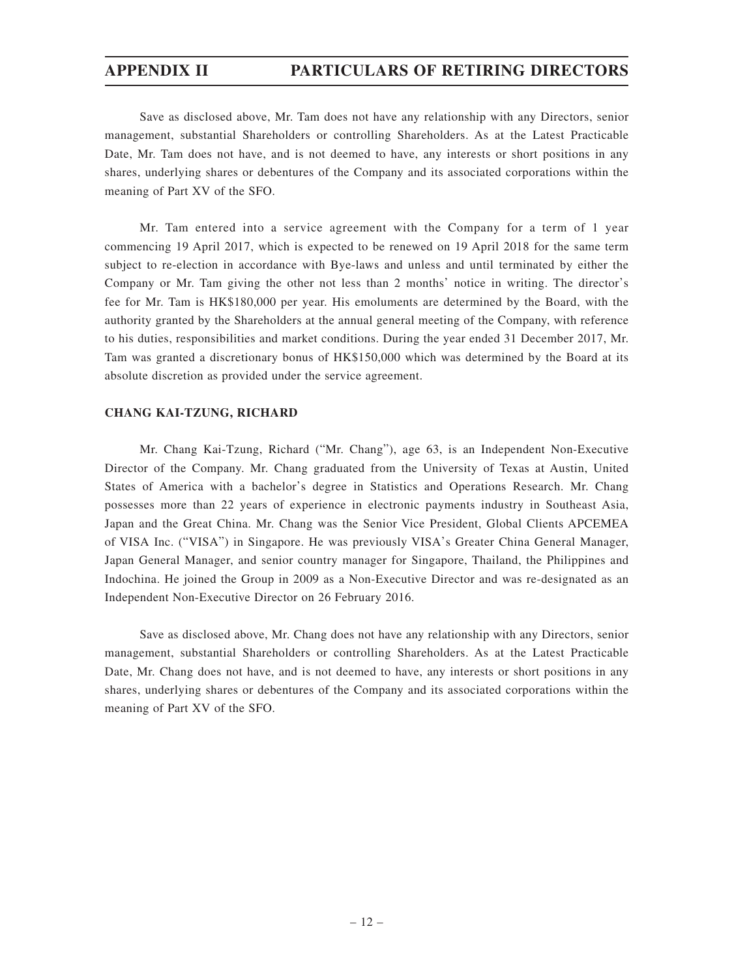### **APPENDIX II PARTICULARS OF RETIRING DIRECTORS**

Save as disclosed above, Mr. Tam does not have any relationship with any Directors, senior management, substantial Shareholders or controlling Shareholders. As at the Latest Practicable Date, Mr. Tam does not have, and is not deemed to have, any interests or short positions in any shares, underlying shares or debentures of the Company and its associated corporations within the meaning of Part XV of the SFO.

Mr. Tam entered into a service agreement with the Company for a term of 1 year commencing 19 April 2017, which is expected to be renewed on 19 April 2018 for the same term subject to re-election in accordance with Bye-laws and unless and until terminated by either the Company or Mr. Tam giving the other not less than 2 months' notice in writing. The director's fee for Mr. Tam is HK\$180,000 per year. His emoluments are determined by the Board, with the authority granted by the Shareholders at the annual general meeting of the Company, with reference to his duties, responsibilities and market conditions. During the year ended 31 December 2017, Mr. Tam was granted a discretionary bonus of HK\$150,000 which was determined by the Board at its absolute discretion as provided under the service agreement.

#### **CHANG KAI-TZUNG, RICHARD**

Mr. Chang Kai-Tzung, Richard ("Mr. Chang"), age 63, is an Independent Non-Executive Director of the Company. Mr. Chang graduated from the University of Texas at Austin, United States of America with a bachelor's degree in Statistics and Operations Research. Mr. Chang possesses more than 22 years of experience in electronic payments industry in Southeast Asia, Japan and the Great China. Mr. Chang was the Senior Vice President, Global Clients APCEMEA of VISA Inc. ("VISA") in Singapore. He was previously VISA's Greater China General Manager, Japan General Manager, and senior country manager for Singapore, Thailand, the Philippines and Indochina. He joined the Group in 2009 as a Non-Executive Director and was re-designated as an Independent Non-Executive Director on 26 February 2016.

Save as disclosed above, Mr. Chang does not have any relationship with any Directors, senior management, substantial Shareholders or controlling Shareholders. As at the Latest Practicable Date, Mr. Chang does not have, and is not deemed to have, any interests or short positions in any shares, underlying shares or debentures of the Company and its associated corporations within the meaning of Part XV of the SFO.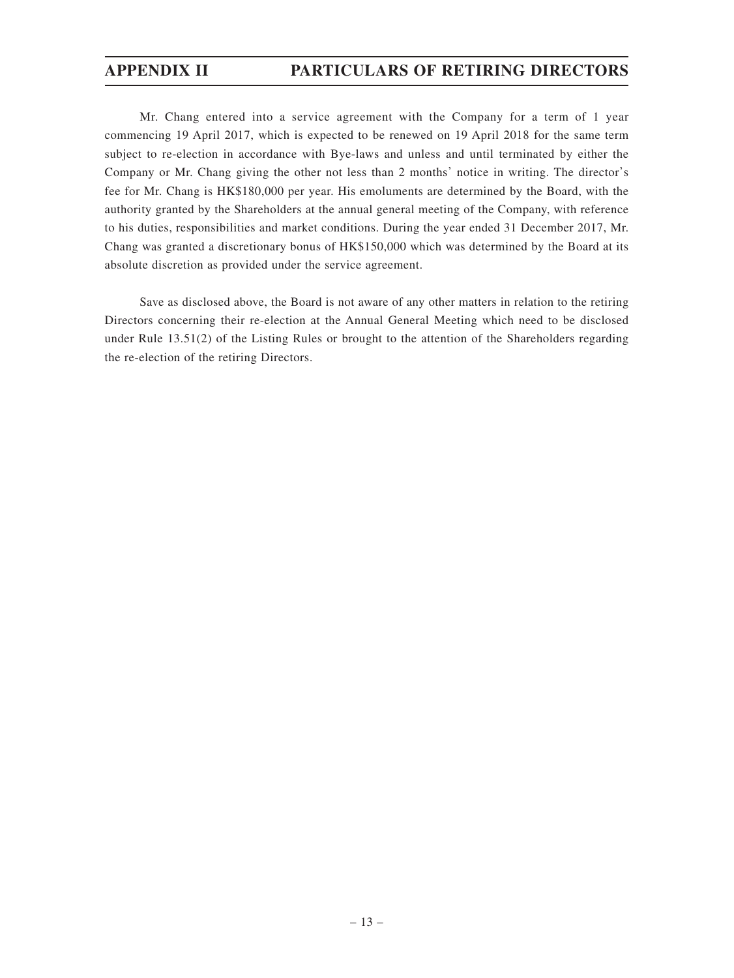### **APPENDIX II PARTICULARS OF RETIRING DIRECTORS**

Mr. Chang entered into a service agreement with the Company for a term of 1 year commencing 19 April 2017, which is expected to be renewed on 19 April 2018 for the same term subject to re-election in accordance with Bye-laws and unless and until terminated by either the Company or Mr. Chang giving the other not less than 2 months' notice in writing. The director's fee for Mr. Chang is HK\$180,000 per year. His emoluments are determined by the Board, with the authority granted by the Shareholders at the annual general meeting of the Company, with reference to his duties, responsibilities and market conditions. During the year ended 31 December 2017, Mr. Chang was granted a discretionary bonus of HK\$150,000 which was determined by the Board at its absolute discretion as provided under the service agreement.

Save as disclosed above, the Board is not aware of any other matters in relation to the retiring Directors concerning their re-election at the Annual General Meeting which need to be disclosed under Rule 13.51(2) of the Listing Rules or brought to the attention of the Shareholders regarding the re-election of the retiring Directors.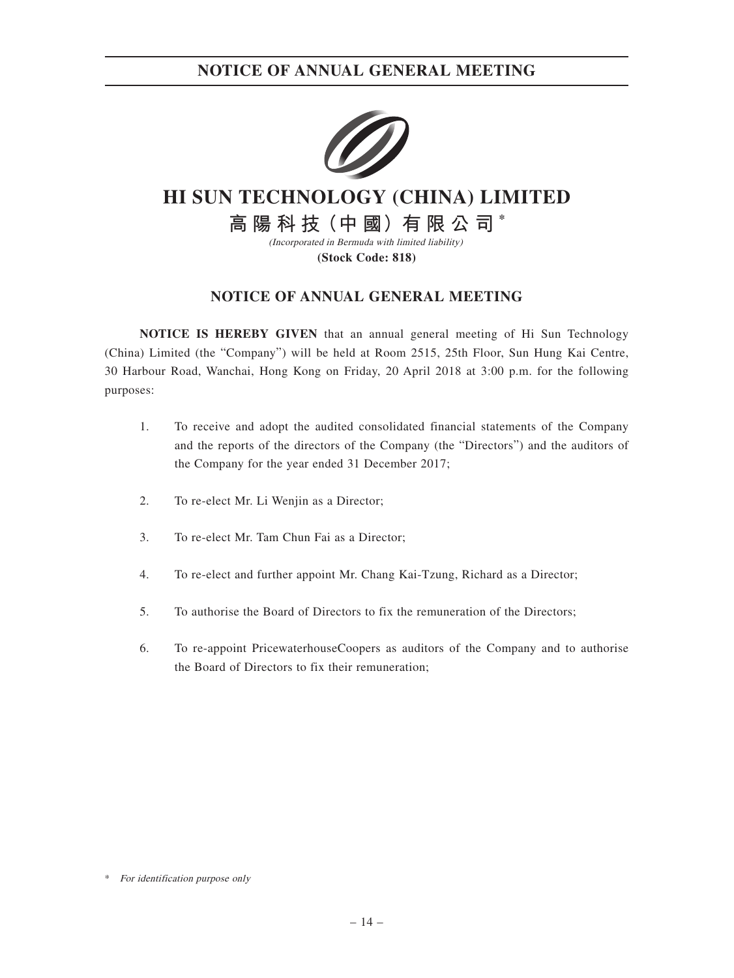

# **HI SUN TECHNOLOGY (CHINA) LIMITED**

**高 陽 科 技(中 國)有 限 公 司 \***

(Incorporated in Bermuda with limited liability) **(Stock Code: 818)**

### **NOTICE OF ANNUAL GENERAL MEETING**

**NOTICE IS HEREBY GIVEN** that an annual general meeting of Hi Sun Technology (China) Limited (the "Company") will be held at Room 2515, 25th Floor, Sun Hung Kai Centre, 30 Harbour Road, Wanchai, Hong Kong on Friday, 20 April 2018 at 3:00 p.m. for the following purposes:

- 1. To receive and adopt the audited consolidated financial statements of the Company and the reports of the directors of the Company (the "Directors") and the auditors of the Company for the year ended 31 December 2017;
- 2. To re-elect Mr. Li Wenjin as a Director;
- 3. To re-elect Mr. Tam Chun Fai as a Director;
- 4. To re-elect and further appoint Mr. Chang Kai-Tzung, Richard as a Director;
- 5. To authorise the Board of Directors to fix the remuneration of the Directors;
- 6. To re-appoint PricewaterhouseCoopers as auditors of the Company and to authorise the Board of Directors to fix their remuneration;

\* For identification purpose only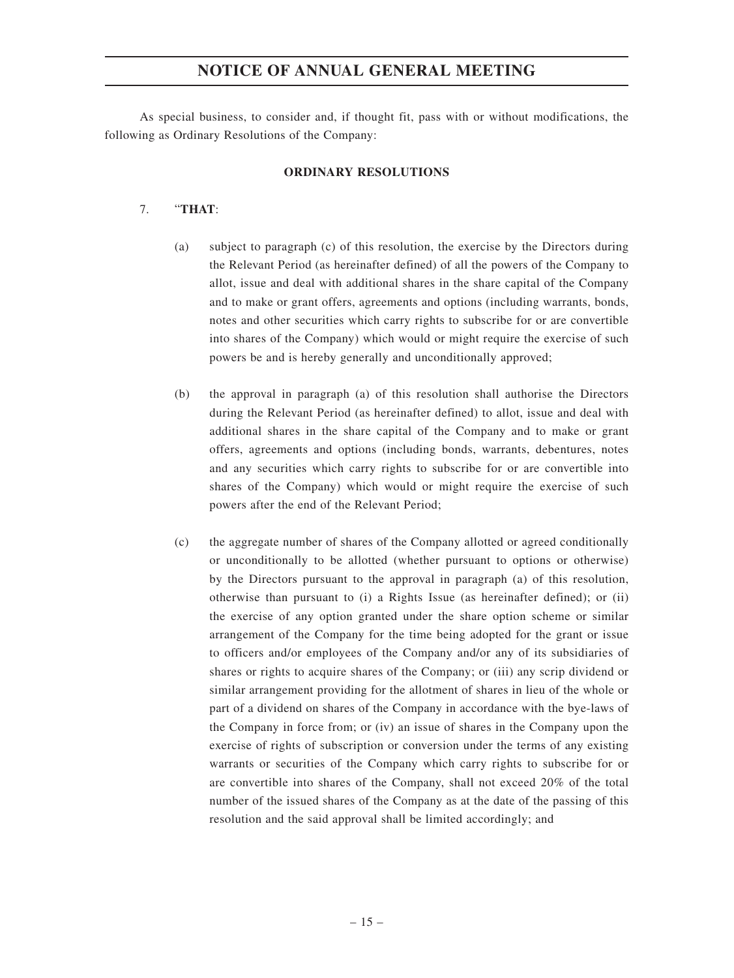As special business, to consider and, if thought fit, pass with or without modifications, the following as Ordinary Resolutions of the Company:

#### **ORDINARY RESOLUTIONS**

#### 7. "**THAT**:

- (a) subject to paragraph (c) of this resolution, the exercise by the Directors during the Relevant Period (as hereinafter defined) of all the powers of the Company to allot, issue and deal with additional shares in the share capital of the Company and to make or grant offers, agreements and options (including warrants, bonds, notes and other securities which carry rights to subscribe for or are convertible into shares of the Company) which would or might require the exercise of such powers be and is hereby generally and unconditionally approved;
- (b) the approval in paragraph (a) of this resolution shall authorise the Directors during the Relevant Period (as hereinafter defined) to allot, issue and deal with additional shares in the share capital of the Company and to make or grant offers, agreements and options (including bonds, warrants, debentures, notes and any securities which carry rights to subscribe for or are convertible into shares of the Company) which would or might require the exercise of such powers after the end of the Relevant Period;
- (c) the aggregate number of shares of the Company allotted or agreed conditionally or unconditionally to be allotted (whether pursuant to options or otherwise) by the Directors pursuant to the approval in paragraph (a) of this resolution, otherwise than pursuant to (i) a Rights Issue (as hereinafter defined); or (ii) the exercise of any option granted under the share option scheme or similar arrangement of the Company for the time being adopted for the grant or issue to officers and/or employees of the Company and/or any of its subsidiaries of shares or rights to acquire shares of the Company; or (iii) any scrip dividend or similar arrangement providing for the allotment of shares in lieu of the whole or part of a dividend on shares of the Company in accordance with the bye-laws of the Company in force from; or (iv) an issue of shares in the Company upon the exercise of rights of subscription or conversion under the terms of any existing warrants or securities of the Company which carry rights to subscribe for or are convertible into shares of the Company, shall not exceed 20% of the total number of the issued shares of the Company as at the date of the passing of this resolution and the said approval shall be limited accordingly; and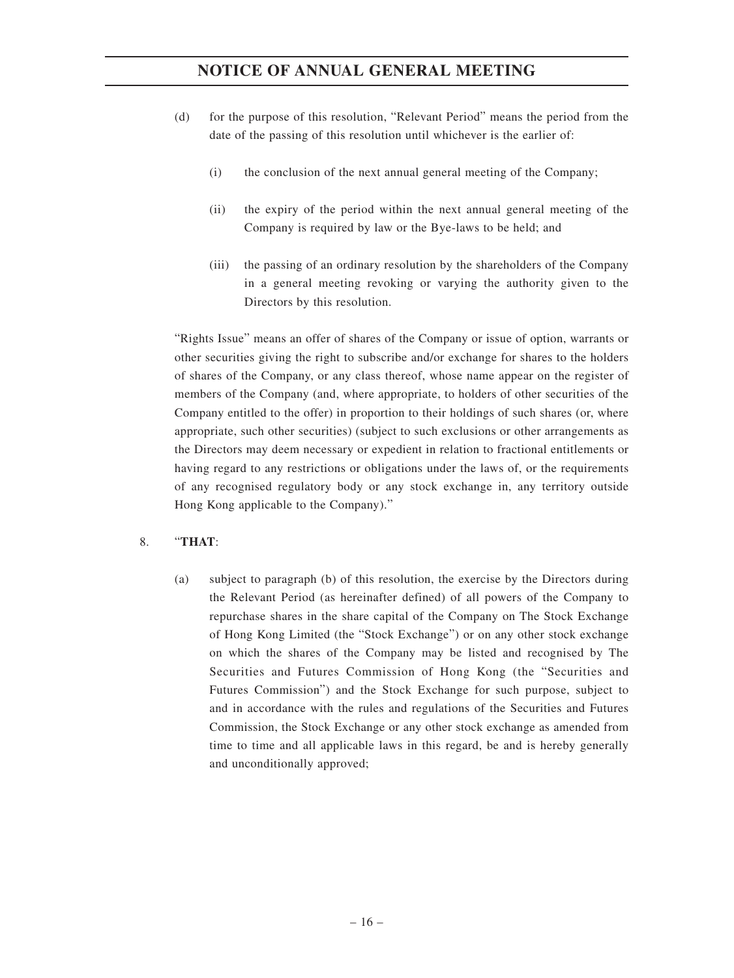- (d) for the purpose of this resolution, "Relevant Period" means the period from the date of the passing of this resolution until whichever is the earlier of:
	- (i) the conclusion of the next annual general meeting of the Company;
	- (ii) the expiry of the period within the next annual general meeting of the Company is required by law or the Bye-laws to be held; and
	- (iii) the passing of an ordinary resolution by the shareholders of the Company in a general meeting revoking or varying the authority given to the Directors by this resolution.

"Rights Issue" means an offer of shares of the Company or issue of option, warrants or other securities giving the right to subscribe and/or exchange for shares to the holders of shares of the Company, or any class thereof, whose name appear on the register of members of the Company (and, where appropriate, to holders of other securities of the Company entitled to the offer) in proportion to their holdings of such shares (or, where appropriate, such other securities) (subject to such exclusions or other arrangements as the Directors may deem necessary or expedient in relation to fractional entitlements or having regard to any restrictions or obligations under the laws of, or the requirements of any recognised regulatory body or any stock exchange in, any territory outside Hong Kong applicable to the Company)."

#### 8. "**THAT**:

(a) subject to paragraph (b) of this resolution, the exercise by the Directors during the Relevant Period (as hereinafter defined) of all powers of the Company to repurchase shares in the share capital of the Company on The Stock Exchange of Hong Kong Limited (the "Stock Exchange") or on any other stock exchange on which the shares of the Company may be listed and recognised by The Securities and Futures Commission of Hong Kong (the "Securities and Futures Commission") and the Stock Exchange for such purpose, subject to and in accordance with the rules and regulations of the Securities and Futures Commission, the Stock Exchange or any other stock exchange as amended from time to time and all applicable laws in this regard, be and is hereby generally and unconditionally approved;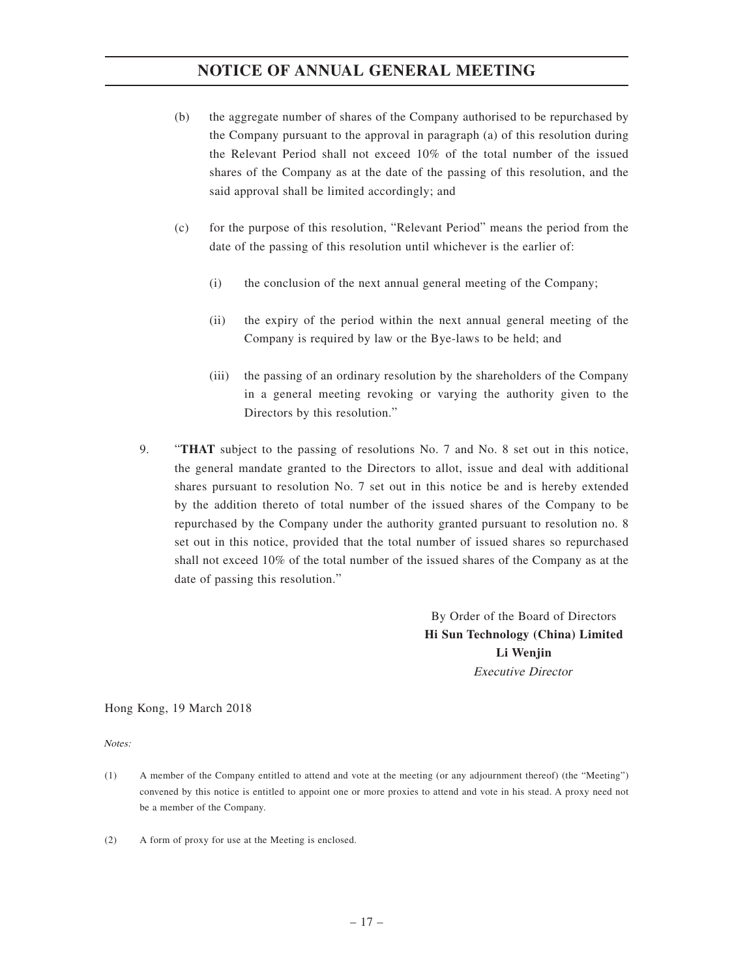- (b) the aggregate number of shares of the Company authorised to be repurchased by the Company pursuant to the approval in paragraph (a) of this resolution during the Relevant Period shall not exceed 10% of the total number of the issued shares of the Company as at the date of the passing of this resolution, and the said approval shall be limited accordingly; and
- (c) for the purpose of this resolution, "Relevant Period" means the period from the date of the passing of this resolution until whichever is the earlier of:
	- (i) the conclusion of the next annual general meeting of the Company;
	- (ii) the expiry of the period within the next annual general meeting of the Company is required by law or the Bye-laws to be held; and
	- (iii) the passing of an ordinary resolution by the shareholders of the Company in a general meeting revoking or varying the authority given to the Directors by this resolution."
- 9. "**THAT** subject to the passing of resolutions No. 7 and No. 8 set out in this notice, the general mandate granted to the Directors to allot, issue and deal with additional shares pursuant to resolution No. 7 set out in this notice be and is hereby extended by the addition thereto of total number of the issued shares of the Company to be repurchased by the Company under the authority granted pursuant to resolution no. 8 set out in this notice, provided that the total number of issued shares so repurchased shall not exceed 10% of the total number of the issued shares of the Company as at the date of passing this resolution."

By Order of the Board of Directors **Hi Sun Technology (China) Limited Li Wenjin** Executive Director

Hong Kong, 19 March 2018

Notes:

- (1) A member of the Company entitled to attend and vote at the meeting (or any adjournment thereof) (the "Meeting") convened by this notice is entitled to appoint one or more proxies to attend and vote in his stead. A proxy need not be a member of the Company.
- (2) A form of proxy for use at the Meeting is enclosed.